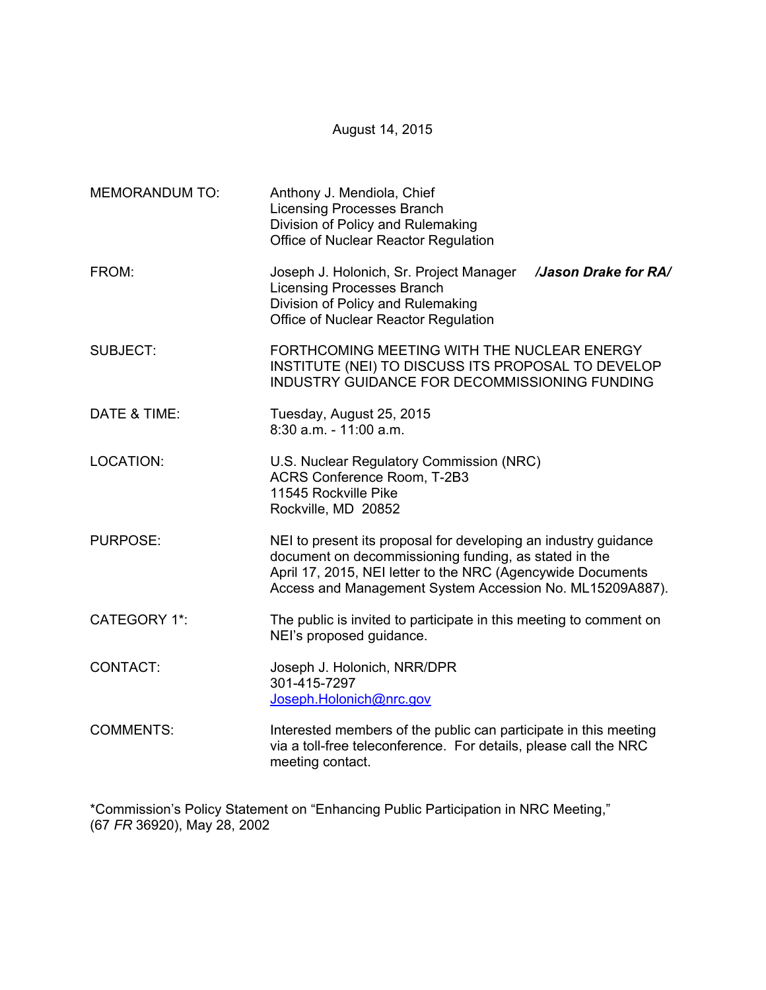August 14, 2015

| <b>MEMORANDUM TO:</b> | Anthony J. Mendiola, Chief<br><b>Licensing Processes Branch</b><br>Division of Policy and Rulemaking<br>Office of Nuclear Reactor Regulation                                                                                                        |
|-----------------------|-----------------------------------------------------------------------------------------------------------------------------------------------------------------------------------------------------------------------------------------------------|
| FROM:                 | Joseph J. Holonich, Sr. Project Manager /Jason Drake for RA/<br><b>Licensing Processes Branch</b><br>Division of Policy and Rulemaking<br>Office of Nuclear Reactor Regulation                                                                      |
| <b>SUBJECT:</b>       | FORTHCOMING MEETING WITH THE NUCLEAR ENERGY<br>INSTITUTE (NEI) TO DISCUSS ITS PROPOSAL TO DEVELOP<br>INDUSTRY GUIDANCE FOR DECOMMISSIONING FUNDING                                                                                                  |
| DATE & TIME:          | Tuesday, August 25, 2015<br>$8:30$ a.m. - 11:00 a.m.                                                                                                                                                                                                |
| <b>LOCATION:</b>      | U.S. Nuclear Regulatory Commission (NRC)<br>ACRS Conference Room, T-2B3<br>11545 Rockville Pike<br>Rockville, MD 20852                                                                                                                              |
| <b>PURPOSE:</b>       | NEI to present its proposal for developing an industry guidance<br>document on decommissioning funding, as stated in the<br>April 17, 2015, NEI letter to the NRC (Agencywide Documents<br>Access and Management System Accession No. ML15209A887). |
| <b>CATEGORY 1*:</b>   | The public is invited to participate in this meeting to comment on<br>NEI's proposed guidance.                                                                                                                                                      |
| CONTACT:              | Joseph J. Holonich, NRR/DPR<br>301-415-7297<br>Joseph.Holonich@nrc.gov                                                                                                                                                                              |
| <b>COMMENTS:</b>      | Interested members of the public can participate in this meeting<br>via a toll-free teleconference. For details, please call the NRC<br>meeting contact.                                                                                            |

\*Commission's Policy Statement on "Enhancing Public Participation in NRC Meeting," (67 *FR* 36920), May 28, 2002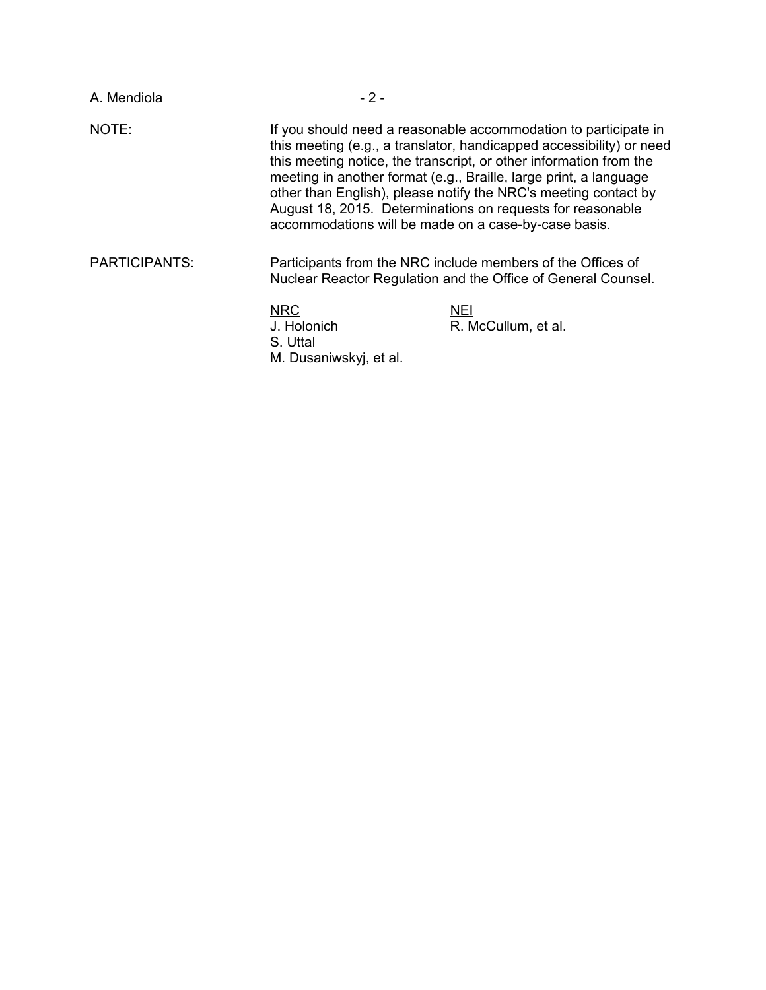| A. Mendiola          | $-2-$                                                           |                                                                                                                                                                                                                                                                                                                                                                                                                     |
|----------------------|-----------------------------------------------------------------|---------------------------------------------------------------------------------------------------------------------------------------------------------------------------------------------------------------------------------------------------------------------------------------------------------------------------------------------------------------------------------------------------------------------|
| NOTE:                | accommodations will be made on a case-by-case basis.            | If you should need a reasonable accommodation to participate in<br>this meeting (e.g., a translator, handicapped accessibility) or need<br>this meeting notice, the transcript, or other information from the<br>meeting in another format (e.g., Braille, large print, a language<br>other than English), please notify the NRC's meeting contact by<br>August 18, 2015. Determinations on requests for reasonable |
| <b>PARTICIPANTS:</b> |                                                                 | Participants from the NRC include members of the Offices of<br>Nuclear Reactor Regulation and the Office of General Counsel.                                                                                                                                                                                                                                                                                        |
|                      | <b>NRC</b><br>J. Holonich<br>S. Uttal<br>M. Dusaniwskyj, et al. | <b>NEI</b><br>R. McCullum, et al.                                                                                                                                                                                                                                                                                                                                                                                   |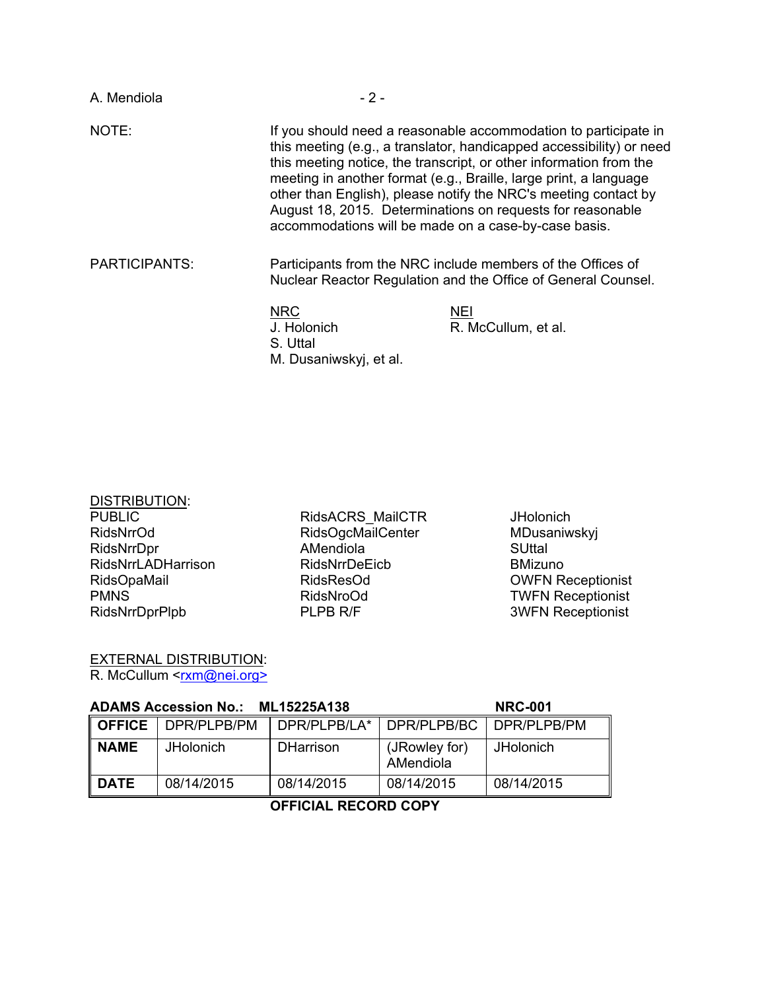| A. Mendiola          | $-2-$                                                           |                                                                                                                                                                                                                                                                                                                                                                                                                     |
|----------------------|-----------------------------------------------------------------|---------------------------------------------------------------------------------------------------------------------------------------------------------------------------------------------------------------------------------------------------------------------------------------------------------------------------------------------------------------------------------------------------------------------|
| NOTE:                | accommodations will be made on a case-by-case basis.            | If you should need a reasonable accommodation to participate in<br>this meeting (e.g., a translator, handicapped accessibility) or need<br>this meeting notice, the transcript, or other information from the<br>meeting in another format (e.g., Braille, large print, a language<br>other than English), please notify the NRC's meeting contact by<br>August 18, 2015. Determinations on requests for reasonable |
| <b>PARTICIPANTS:</b> |                                                                 | Participants from the NRC include members of the Offices of<br>Nuclear Reactor Regulation and the Office of General Counsel.                                                                                                                                                                                                                                                                                        |
|                      | <b>NRC</b><br>J. Holonich<br>S. Uttal<br>M. Dusaniwskyj, et al. | <b>NEI</b><br>R. McCullum, et al.                                                                                                                                                                                                                                                                                                                                                                                   |

| <b>DISTRIBUTION:</b>      |
|---------------------------|
| <b>PUBLIC</b>             |
| RidsNrrOd                 |
| RidsNrrDpr                |
| <b>RidsNrrLADHarrison</b> |
| <b>RidsOpaMail</b>        |
| PMNS                      |
| RidsNrrDprPlpb            |

RidsACRS\_MailCTR RidsOgcMailCenter AMendiola RidsNrrDeEicb RidsResOd RidsNroOd PLPB R/F

**JHolonich** MDusaniwskyj **SUttal** BMizuno OWFN Receptionist TWFN Receptionist 3WFN Receptionist

EXTERNAL DISTRIBUTION: R. McCullum <<u>rxm@nei.org></u>

| <b>ADAMS Accession No.: ML15225A138</b> |                  |                  | <b>NRC-001</b>             |                     |
|-----------------------------------------|------------------|------------------|----------------------------|---------------------|
| l OFFICE                                | DPR/PLPB/PM      | DPR/PLPB/LA*     | DPR/PLPB/BC                | <b>IDPR/PLPB/PM</b> |
| ∥ NAME                                  | <b>JHolonich</b> | <b>DHarrison</b> | (JRowley for)<br>AMendiola | <b>JHolonich</b>    |
| ∥ DATE                                  | 08/14/2015       | 08/14/2015       | 08/14/2015                 | 08/14/2015          |

# **OFFICIAL RECORD COPY**